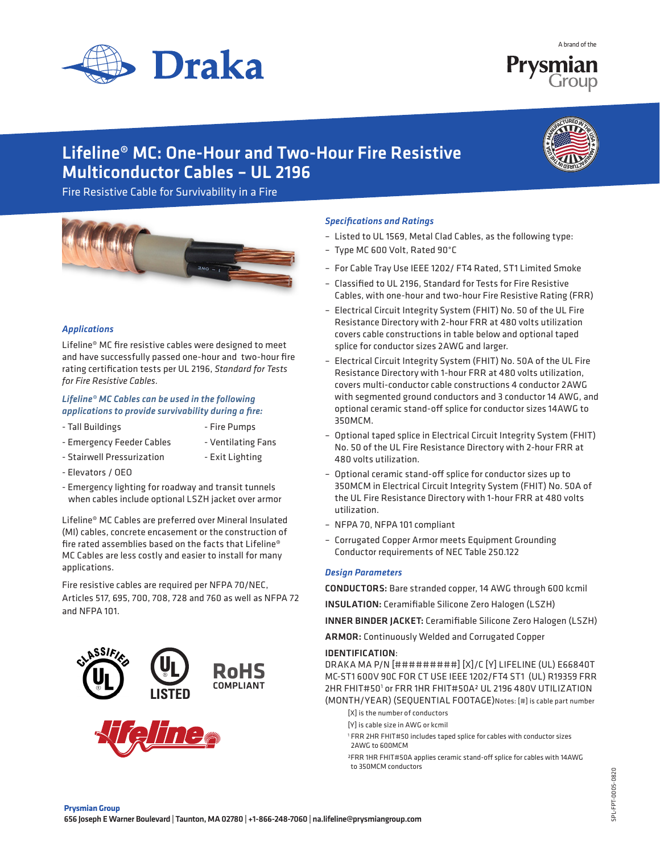

A brand of the

# Lifeline® MC: One-Hour and Two-Hour Fire Resistive Multiconductor Cables – UL 2196

Fire Resistive Cable for Survivability in a Fire



#### *Applications*

Lifeline® MC fire resistive cables were designed to meet and have successfully passed one-hour and two-hour fire rating certification tests per UL 2196, *Standard for Tests for Fire Resistive Cables.* 

#### *Lifeline® MC Cables can be used in the following applications to provide survivability during a fire:*

- Tall Buildings  **Fire Pumps** 
	-
- Emergency Feeder Cables Ventilating Fans
- Stairwell Pressurization Exit Lighting
- Elevators / OEO
- Emergency lighting for roadway and transit tunnels when cables include optional LSZH jacket over armor

Lifeline® MC Cables are preferred over Mineral Insulated (MI) cables, concrete encasement or the construction of fire rated assemblies based on the facts that Lifeline® MC Cables are less costly and easier to install for many applications.

Fire resistive cables are required per NFPA 70/NEC, Articles 517, 695, 700, 708, 728 and 760 as well as NFPA 72 and NFPA 101.



## *Specifications and Ratings*

- Listed to UL 1569, Metal Clad Cables, as the following type:
- Type MC 600 Volt, Rated 90°C
- For Cable Tray Use IEEE 1202/ FT4 Rated, ST1 Limited Smoke
- Classified to UL 2196, Standard for Tests for Fire Resistive Cables, with one-hour and two-hour Fire Resistive Rating (FRR)
- Electrical Circuit Integrity System (FHIT) No. 50 of the UL Fire Resistance Directory with 2-hour FRR at 480 volts utilization covers cable constructions in table below and optional taped splice for conductor sizes 2AWG and larger.
- Electrical Circuit Integrity System (FHIT) No. 50A of the UL Fire Resistance Directory with 1-hour FRR at 480 volts utilization, covers multi-conductor cable constructions 4 conductor 2AWG with segmented ground conductors and 3 conductor 14 AWG, and optional ceramic stand-off splice for conductor sizes 14AWG to 350MCM.
- Optional taped splice in Electrical Circuit Integrity System (FHIT) No. 50 of the UL Fire Resistance Directory with 2-hour FRR at 480 volts utilization.
- Optional ceramic stand-off splice for conductor sizes up to 350MCM in Electrical Circuit Integrity System (FHIT) No. 50A of the UL Fire Resistance Directory with 1-hour FRR at 480 volts utilization.
- NFPA 70, NFPA 101 compliant
- Corrugated Copper Armor meets Equipment Grounding Conductor requirements of NEC Table 250.122

#### *Design Parameters*

CONDUCTORS: Bare stranded copper, 14 AWG through 600 kcmil

INSULATION: Ceramifiable Silicone Zero Halogen (LSZH)

INNER BINDER JACKET: Ceramifiable Silicone Zero Halogen (LSZH)

ARMOR: Continuously Welded and Corrugated Copper

#### IDENTIFICATION:

DRAKA MA P/N [#########] [X]/C [Y] LIFELINE (UL) E66840T MC-ST1 600V 90C FOR CT USE IEEE 1202/FT4 ST1 (UL) R19359 FRR 2HR FHIT#501 or FRR 1HR FHIT#50A² UL 2196 480V UTILIZATION (MONTH/YEAR) (SEQUENTIAL FOOTAGE)Notes: [#] is cable part number

- [X] is the number of conductors
- [Y] is cable size in AWG or kcmil
- 1 FRR 2HR FHIT#50 includes taped splice for cables with conductor sizes 2AWG to 600MCM
	- ²FRR 1HR FHIT#50A applies ceramic stand-off splice for cables with 14AWG to 350MCM conductors